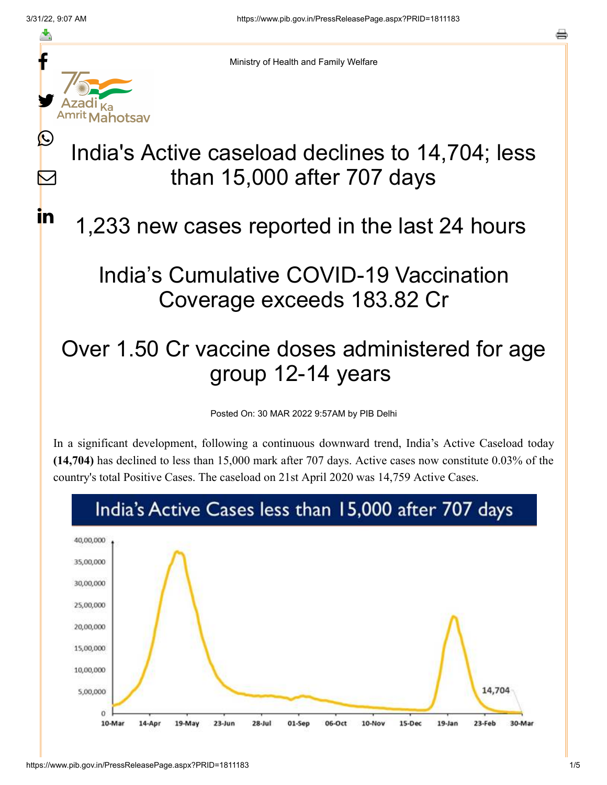≛

 $\mathbf{\Omega}$ 

 $\blacktriangleright$ 

<u>in</u>



Ministry of Health and Family Welfare

## India's Active caseload declines to 14,704; less than 15,000 after 707 days

## 1,233 new cases reported in the last 24 hours

## India's Cumulative COVID-19 Vaccination Coverage exceeds 183.82 Cr

## Over 1.50 Cr vaccine doses administered for age group 12-14 years

Posted On: 30 MAR 2022 9:57AM by PIB Delhi

In a significant development, following a continuous downward trend, India's Active Caseload today **(14,704)** has declined to less than 15,000 mark after 707 days. Active cases now constitute 0.03% of the country's total Positive Cases. The caseload on 21st April 2020 was 14,759 Active Cases.

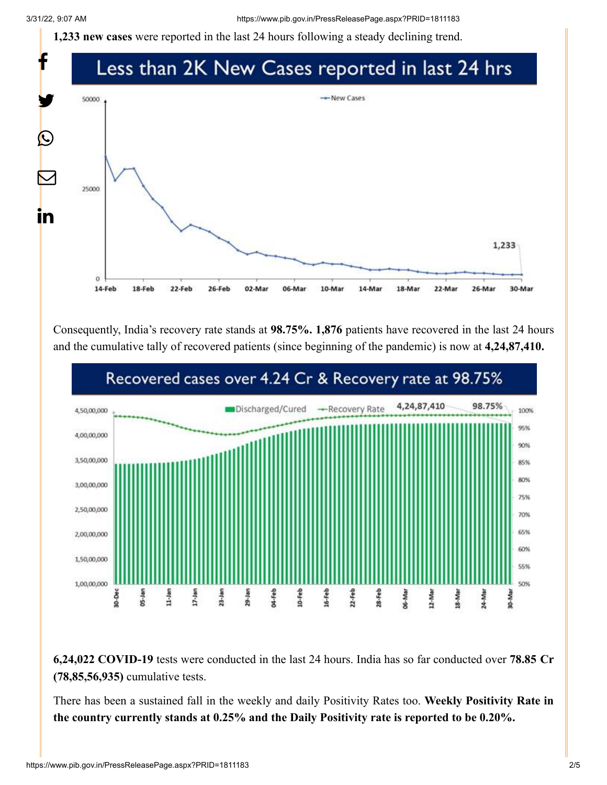**1,233 new cases** were reported in the last 24 hours following a steady declining trend.



Consequently, India's recovery rate stands at **98.75%. 1,876** patients have recovered in the last 24 hours and the cumulative tally of recovered patients (since beginning of the pandemic) is now at **4,24,87,410.**



**6,24,022 COVID-19** tests were conducted in the last 24 hours. India has so far conducted over **78.85 Cr (78,85,56,935)** cumulative tests.

There has been a sustained fall in the weekly and daily Positivity Rates too. **Weekly Positivity Rate in the country currently stands at 0.25% and the Daily Positivity rate is reported to be 0.20%.**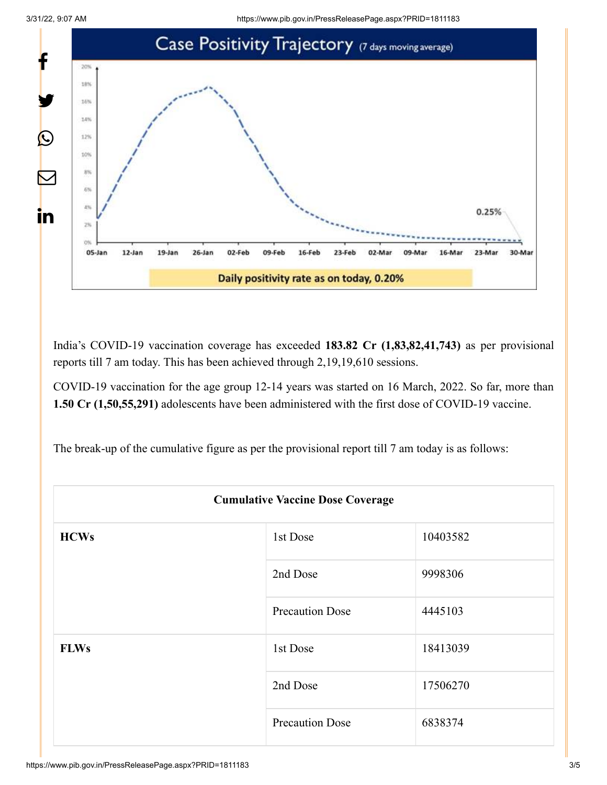

India's COVID-19 vaccination coverage has exceeded **183.82 Cr (1,83,82,41,743)** as per provisional reports till 7 am today. This has been achieved through 2,19,19,610 sessions.

COVID-19 vaccination for the age group 12-14 years was started on 16 March, 2022. So far, more than **1.50 Cr (1,50,55,291)** adolescents have been administered with the first dose of COVID-19 vaccine.

The break-up of the cumulative figure as per the provisional report till 7 am today is as follows:

| <b>Cumulative Vaccine Dose Coverage</b> |                        |          |  |
|-----------------------------------------|------------------------|----------|--|
| <b>HCWs</b>                             | 1st Dose               | 10403582 |  |
|                                         | 2nd Dose               | 9998306  |  |
|                                         | <b>Precaution Dose</b> | 4445103  |  |
| <b>FLWs</b>                             | 1st Dose               | 18413039 |  |
|                                         | 2nd Dose               | 17506270 |  |
|                                         | <b>Precaution Dose</b> | 6838374  |  |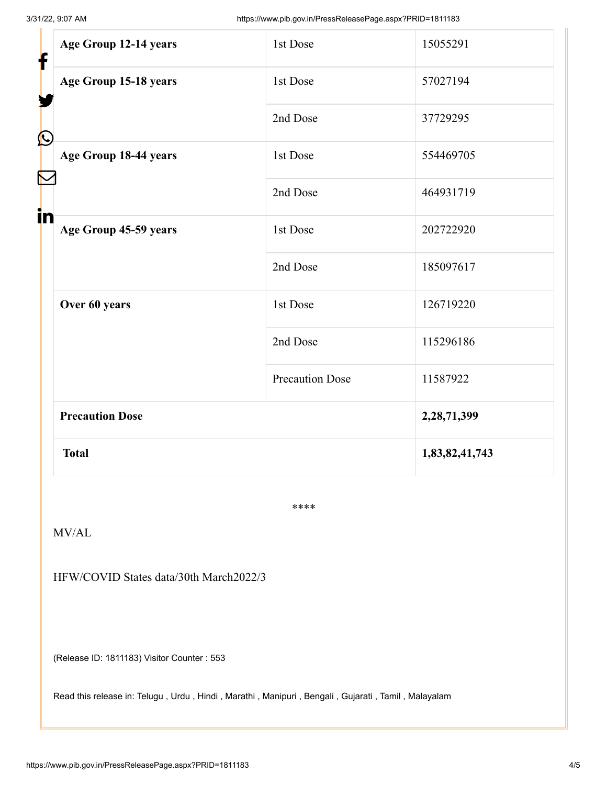| Age Group 12-14 years                    | 1st Dose               | 15055291       |
|------------------------------------------|------------------------|----------------|
| f<br>Age Group 15-18 years<br>$\bigcirc$ | 1st Dose               | 57027194       |
|                                          | 2nd Dose               | 37729295       |
| Age Group 18-44 years                    | 1st Dose               | 554469705      |
|                                          | 2nd Dose               | 464931719      |
| in<br>Age Group 45-59 years              | 1st Dose               | 202722920      |
|                                          | 2nd Dose               | 185097617      |
| Over 60 years                            | 1st Dose               | 126719220      |
|                                          | 2nd Dose               | 115296186      |
|                                          | <b>Precaution Dose</b> | 11587922       |
| <b>Precaution Dose</b>                   |                        | 2,28,71,399    |
| <b>Total</b>                             |                        | 1,83,82,41,743 |
|                                          |                        |                |

\*\*\*\*

MV/AL

HFW/COVID States data/30th March2022/3

(Release ID: 1811183) Visitor Counter : 553

Read this release in: [Telugu](https://pib.gov.in/PressReleasePage.aspx?PRID=1811326) , [Urdu](https://pib.gov.in/PressReleasePage.aspx?PRID=1811277) , [Hindi](https://pib.gov.in/PressReleasePage.aspx?PRID=1811210) , [Marathi ,](https://pib.gov.in/PressReleasePage.aspx?PRID=1811281) [Manipuri ,](https://pib.gov.in/PressReleasePage.aspx?PRID=1811253) [Bengali ,](https://pib.gov.in/PressReleasePage.aspx?PRID=1811636) [Gujarati](https://pib.gov.in/PressReleasePage.aspx?PRID=1811273) , [Tamil ,](https://pib.gov.in/PressReleasePage.aspx?PRID=1811233) [Malayalam](https://pib.gov.in/PressReleasePage.aspx?PRID=1811261)